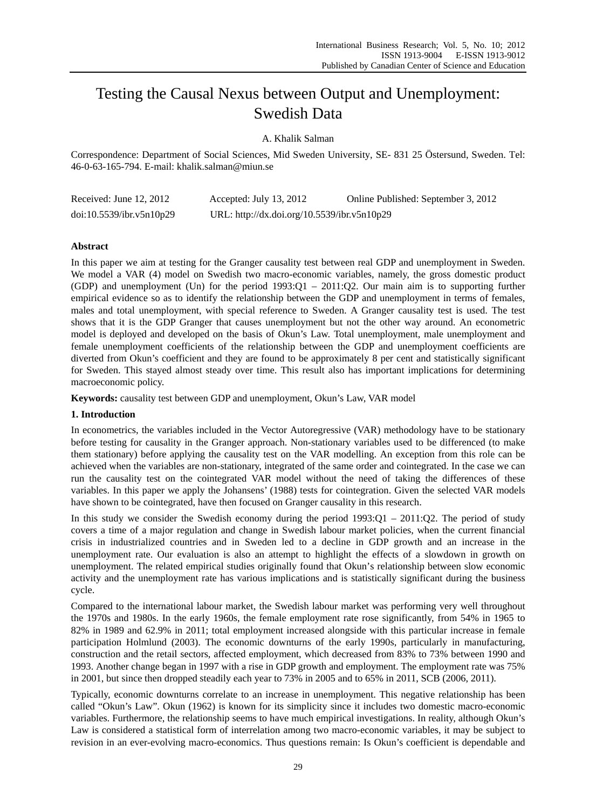# Testing the Causal Nexus between Output and Unemployment: Swedish Data

A. Khalik Salman

Correspondence: Department of Social Sciences, Mid Sweden University, SE- 831 25 Östersund, Sweden. Tel: 46-0-63-165-794. E-mail: khalik.salman@miun.se

| Received: June $12, 2012$ | Accepted: July 13, 2012                     | Online Published: September 3, 2012 |
|---------------------------|---------------------------------------------|-------------------------------------|
| doi:10.5539/ibr.v5n10p29  | URL: http://dx.doi.org/10.5539/ibr.v5n10p29 |                                     |

### **Abstract**

In this paper we aim at testing for the Granger causality test between real GDP and unemployment in Sweden. We model a VAR (4) model on Swedish two macro-economic variables, namely, the gross domestic product (GDP) and unemployment (Un) for the period 1993:Q1 – 2011:Q2. Our main aim is to supporting further empirical evidence so as to identify the relationship between the GDP and unemployment in terms of females, males and total unemployment, with special reference to Sweden. A Granger causality test is used. The test shows that it is the GDP Granger that causes unemployment but not the other way around. An econometric model is deployed and developed on the basis of Okun's Law. Total unemployment, male unemployment and female unemployment coefficients of the relationship between the GDP and unemployment coefficients are diverted from Okun's coefficient and they are found to be approximately 8 per cent and statistically significant for Sweden. This stayed almost steady over time. This result also has important implications for determining macroeconomic policy.

**Keywords:** causality test between GDP and unemployment, Okun's Law, VAR model

### **1. Introduction**

In econometrics, the variables included in the Vector Autoregressive (VAR) methodology have to be stationary before testing for causality in the Granger approach. Non-stationary variables used to be differenced (to make them stationary) before applying the causality test on the VAR modelling. An exception from this role can be achieved when the variables are non-stationary, integrated of the same order and cointegrated. In the case we can run the causality test on the cointegrated VAR model without the need of taking the differences of these variables. In this paper we apply the Johansens' (1988) tests for cointegration. Given the selected VAR models have shown to be cointegrated, have then focused on Granger causality in this research.

In this study we consider the Swedish economy during the period 1993:Q1 – 2011:Q2. The period of study covers a time of a major regulation and change in Swedish labour market policies, when the current financial crisis in industrialized countries and in Sweden led to a decline in GDP growth and an increase in the unemployment rate. Our evaluation is also an attempt to highlight the effects of a slowdown in growth on unemployment. The related empirical studies originally found that Okun's relationship between slow economic activity and the unemployment rate has various implications and is statistically significant during the business cycle.

Compared to the international labour market, the Swedish labour market was performing very well throughout the 1970s and 1980s. In the early 1960s, the female employment rate rose significantly, from 54% in 1965 to 82% in 1989 and 62.9% in 2011; total employment increased alongside with this particular increase in female participation Holmlund (2003). The economic downturns of the early 1990s, particularly in manufacturing, construction and the retail sectors, affected employment, which decreased from 83% to 73% between 1990 and 1993. Another change began in 1997 with a rise in GDP growth and employment. The employment rate was 75% in 2001, but since then dropped steadily each year to 73% in 2005 and to 65% in 2011, SCB (2006, 2011).

Typically, economic downturns correlate to an increase in unemployment. This negative relationship has been called "Okun's Law". Okun (1962) is known for its simplicity since it includes two domestic macro-economic variables. Furthermore, the relationship seems to have much empirical investigations. In reality, although Okun's Law is considered a statistical form of interrelation among two macro-economic variables, it may be subject to revision in an ever-evolving macro-economics. Thus questions remain: Is Okun's coefficient is dependable and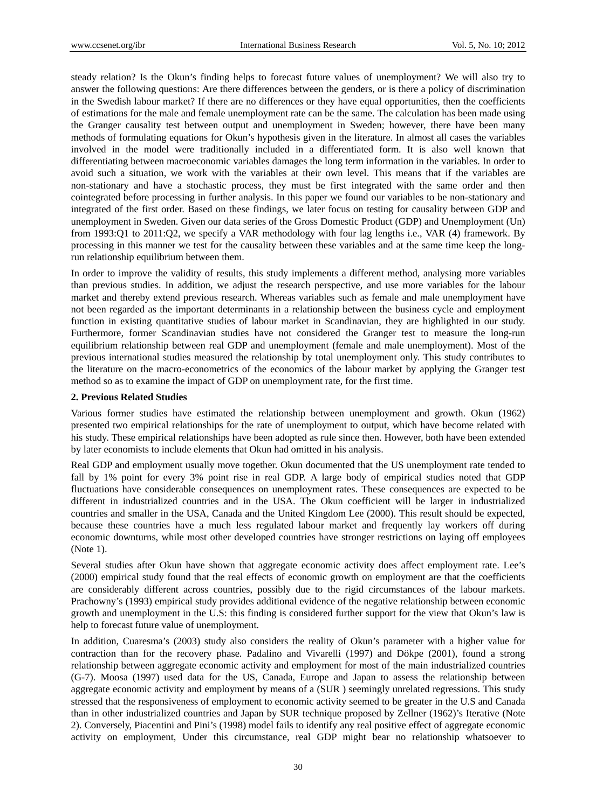steady relation? Is the Okun's finding helps to forecast future values of unemployment? We will also try to answer the following questions: Are there differences between the genders, or is there a policy of discrimination in the Swedish labour market? If there are no differences or they have equal opportunities, then the coefficients of estimations for the male and female unemployment rate can be the same. The calculation has been made using the Granger causality test between output and unemployment in Sweden; however, there have been many methods of formulating equations for Okun's hypothesis given in the literature. In almost all cases the variables involved in the model were traditionally included in a differentiated form. It is also well known that differentiating between macroeconomic variables damages the long term information in the variables. In order to avoid such a situation, we work with the variables at their own level. This means that if the variables are non-stationary and have a stochastic process, they must be first integrated with the same order and then cointegrated before processing in further analysis. In this paper we found our variables to be non-stationary and integrated of the first order. Based on these findings, we later focus on testing for causality between GDP and unemployment in Sweden. Given our data series of the Gross Domestic Product (GDP) and Unemployment (Un) from 1993:Q1 to 2011:Q2, we specify a VAR methodology with four lag lengths i.e., VAR (4) framework. By processing in this manner we test for the causality between these variables and at the same time keep the longrun relationship equilibrium between them.

In order to improve the validity of results, this study implements a different method, analysing more variables than previous studies. In addition, we adjust the research perspective, and use more variables for the labour market and thereby extend previous research. Whereas variables such as female and male unemployment have not been regarded as the important determinants in a relationship between the business cycle and employment function in existing quantitative studies of labour market in Scandinavian, they are highlighted in our study. Furthermore, former Scandinavian studies have not considered the Granger test to measure the long-run equilibrium relationship between real GDP and unemployment (female and male unemployment). Most of the previous international studies measured the relationship by total unemployment only. This study contributes to the literature on the macro-econometrics of the economics of the labour market by applying the Granger test method so as to examine the impact of GDP on unemployment rate, for the first time.

#### **2. Previous Related Studies**

Various former studies have estimated the relationship between unemployment and growth. Okun (1962) presented two empirical relationships for the rate of unemployment to output, which have become related with his study. These empirical relationships have been adopted as rule since then. However, both have been extended by later economists to include elements that Okun had omitted in his analysis.

Real GDP and employment usually move together. Okun documented that the US unemployment rate tended to fall by 1% point for every 3% point rise in real GDP. A large body of empirical studies noted that GDP fluctuations have considerable consequences on unemployment rates. These consequences are expected to be different in industrialized countries and in the USA. The Okun coefficient will be larger in industrialized countries and smaller in the USA, Canada and the United Kingdom Lee (2000). This result should be expected, because these countries have a much less regulated labour market and frequently lay workers off during economic downturns, while most other developed countries have stronger restrictions on laying off employees (Note 1).

Several studies after Okun have shown that aggregate economic activity does affect employment rate. Lee's (2000) empirical study found that the real effects of economic growth on employment are that the coefficients are considerably different across countries, possibly due to the rigid circumstances of the labour markets. Prachowny's (1993) empirical study provides additional evidence of the negative relationship between economic growth and unemployment in the U.S: this finding is considered further support for the view that Okun's law is help to forecast future value of unemployment.

In addition, Cuaresma's (2003) study also considers the reality of Okun's parameter with a higher value for contraction than for the recovery phase. Padalino and Vivarelli (1997) and Dökpe (2001), found a strong relationship between aggregate economic activity and employment for most of the main industrialized countries (G-7). Moosa (1997) used data for the US, Canada, Europe and Japan to assess the relationship between aggregate economic activity and employment by means of a (SUR ) seemingly unrelated regressions. This study stressed that the responsiveness of employment to economic activity seemed to be greater in the U.S and Canada than in other industrialized countries and Japan by SUR technique proposed by Zellner (1962)'s Iterative (Note 2). Conversely, Piacentini and Pini's (1998) model fails to identify any real positive effect of aggregate economic activity on employment, Under this circumstance, real GDP might bear no relationship whatsoever to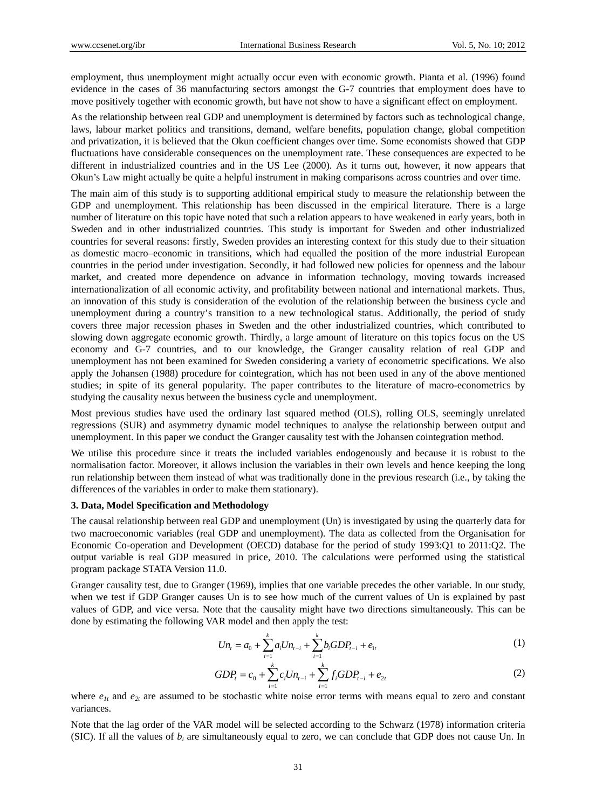employment, thus unemployment might actually occur even with economic growth. Pianta et al. (1996) found evidence in the cases of 36 manufacturing sectors amongst the G-7 countries that employment does have to move positively together with economic growth, but have not show to have a significant effect on employment.

As the relationship between real GDP and unemployment is determined by factors such as technological change, laws, labour market politics and transitions, demand, welfare benefits, population change, global competition and privatization, it is believed that the Okun coefficient changes over time. Some economists showed that GDP fluctuations have considerable consequences on the unemployment rate. These consequences are expected to be different in industrialized countries and in the US Lee (2000). As it turns out, however, it now appears that Okun's Law might actually be quite a helpful instrument in making comparisons across countries and over time.

The main aim of this study is to supporting additional empirical study to measure the relationship between the GDP and unemployment. This relationship has been discussed in the empirical literature. There is a large number of literature on this topic have noted that such a relation appears to have weakened in early years, both in Sweden and in other industrialized countries. This study is important for Sweden and other industrialized countries for several reasons: firstly, Sweden provides an interesting context for this study due to their situation as domestic macro–economic in transitions, which had equalled the position of the more industrial European countries in the period under investigation. Secondly, it had followed new policies for openness and the labour market, and created more dependence on advance in information technology, moving towards increased internationalization of all economic activity, and profitability between national and international markets. Thus, an innovation of this study is consideration of the evolution of the relationship between the business cycle and unemployment during a country's transition to a new technological status. Additionally, the period of study covers three major recession phases in Sweden and the other industrialized countries, which contributed to slowing down aggregate economic growth. Thirdly, a large amount of literature on this topics focus on the US economy and G-7 countries, and to our knowledge, the Granger causality relation of real GDP and unemployment has not been examined for Sweden considering a variety of econometric specifications. We also apply the Johansen (1988) procedure for cointegration, which has not been used in any of the above mentioned studies; in spite of its general popularity. The paper contributes to the literature of macro-econometrics by studying the causality nexus between the business cycle and unemployment.

Most previous studies have used the ordinary last squared method (OLS), rolling OLS, seemingly unrelated regressions (SUR) and asymmetry dynamic model techniques to analyse the relationship between output and unemployment. In this paper we conduct the Granger causality test with the Johansen cointegration method.

We utilise this procedure since it treats the included variables endogenously and because it is robust to the normalisation factor. Moreover, it allows inclusion the variables in their own levels and hence keeping the long run relationship between them instead of what was traditionally done in the previous research (i.e., by taking the differences of the variables in order to make them stationary).

#### **3. Data, Model Specification and Methodology**

The causal relationship between real GDP and unemployment (Un) is investigated by using the quarterly data for two macroeconomic variables (real GDP and unemployment). The data as collected from the Organisation for Economic Co-operation and Development (OECD) database for the period of study 1993:Q1 to 2011:Q2. The output variable is real GDP measured in price, 2010. The calculations were performed using the statistical program package STATA Version 11.0.

Granger causality test, due to Granger (1969), implies that one variable precedes the other variable. In our study, when we test if GDP Granger causes Un is to see how much of the current values of Un is explained by past values of GDP, and vice versa. Note that the causality might have two directions simultaneously. This can be done by estimating the following VAR model and then apply the test:

$$
Un_{t} = a_{0} + \sum_{i=1}^{k} a_{i} Un_{t-i} + \sum_{i=1}^{k} b_{i} GDP_{t-i} + e_{1t}
$$
 (1)

$$
GDP_t = c_0 + \sum_{i=1}^{k} c_i U n_{t-i} + \sum_{i=1}^{k} f_i GDP_{t-i} + e_{2t}
$$
 (2)

where  $e_{1t}$  and  $e_{2t}$  are assumed to be stochastic white noise error terms with means equal to zero and constant variances.

Note that the lag order of the VAR model will be selected according to the Schwarz (1978) information criteria (SIC). If all the values of *bi* are simultaneously equal to zero, we can conclude that GDP does not cause Un. In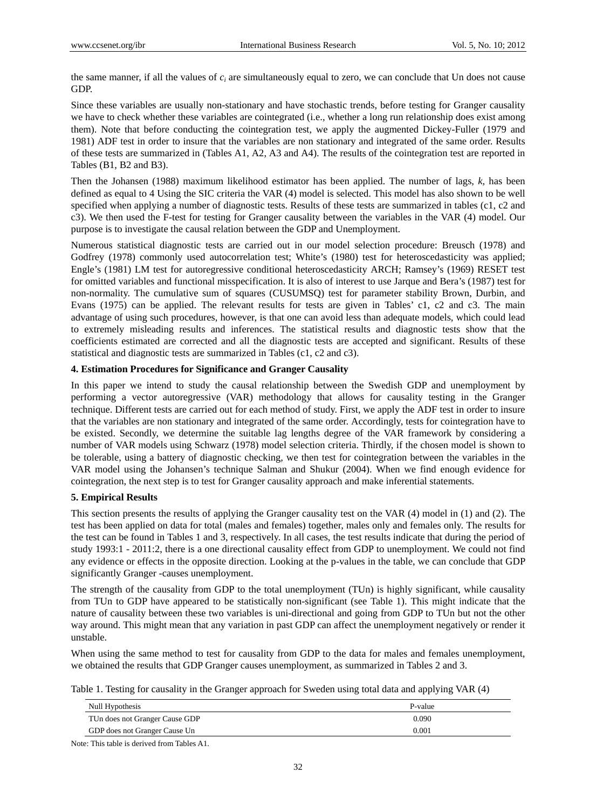the same manner, if all the values of *ci* are simultaneously equal to zero, we can conclude that Un does not cause GDP.

Since these variables are usually non-stationary and have stochastic trends, before testing for Granger causality we have to check whether these variables are cointegrated (i.e., whether a long run relationship does exist among them). Note that before conducting the cointegration test, we apply the augmented Dickey-Fuller (1979 and 1981) ADF test in order to insure that the variables are non stationary and integrated of the same order. Results of these tests are summarized in (Tables A1, A2, A3 and A4). The results of the cointegration test are reported in Tables (B1, B2 and B3).

Then the Johansen (1988) maximum likelihood estimator has been applied. The number of lags, *k*, has been defined as equal to 4 Using the SIC criteria the VAR (4) model is selected. This model has also shown to be well specified when applying a number of diagnostic tests. Results of these tests are summarized in tables (c1, c2 and c3). We then used the F-test for testing for Granger causality between the variables in the VAR (4) model. Our purpose is to investigate the causal relation between the GDP and Unemployment.

Numerous statistical diagnostic tests are carried out in our model selection procedure: Breusch (1978) and Godfrey (1978) commonly used autocorrelation test; White's (1980) test for heteroscedasticity was applied; Engle's (1981) LM test for autoregressive conditional heteroscedasticity ARCH; Ramsey's (1969) RESET test for omitted variables and functional misspecification. It is also of interest to use Jarque and Bera's (1987) test for non-normality. The cumulative sum of squares (CUSUMSQ) test for parameter stability Brown, Durbin, and Evans (1975) can be applied. The relevant results for tests are given in Tables' c1, c2 and c3. The main advantage of using such procedures, however, is that one can avoid less than adequate models, which could lead to extremely misleading results and inferences. The statistical results and diagnostic tests show that the coefficients estimated are corrected and all the diagnostic tests are accepted and significant. Results of these statistical and diagnostic tests are summarized in Tables (c1, c2 and c3).

## **4. Estimation Procedures for Significance and Granger Causality**

In this paper we intend to study the causal relationship between the Swedish GDP and unemployment by performing a vector autoregressive (VAR) methodology that allows for causality testing in the Granger technique. Different tests are carried out for each method of study. First, we apply the ADF test in order to insure that the variables are non stationary and integrated of the same order. Accordingly, tests for cointegration have to be existed. Secondly, we determine the suitable lag lengths degree of the VAR framework by considering a number of VAR models using Schwarz (1978) model selection criteria. Thirdly, if the chosen model is shown to be tolerable, using a battery of diagnostic checking, we then test for cointegration between the variables in the VAR model using the Johansen's technique Salman and Shukur (2004). When we find enough evidence for cointegration, the next step is to test for Granger causality approach and make inferential statements.

## **5. Empirical Results**

This section presents the results of applying the Granger causality test on the VAR (4) model in (1) and (2). The test has been applied on data for total (males and females) together, males only and females only. The results for the test can be found in Tables 1 and 3, respectively. In all cases, the test results indicate that during the period of study 1993:1 - 2011:2, there is a one directional causality effect from GDP to unemployment. We could not find any evidence or effects in the opposite direction. Looking at the p-values in the table, we can conclude that GDP significantly Granger -causes unemployment.

The strength of the causality from GDP to the total unemployment (TUn) is highly significant, while causality from TUn to GDP have appeared to be statistically non-significant (see Table 1). This might indicate that the nature of causality between these two variables is uni-directional and going from GDP to TUn but not the other way around. This might mean that any variation in past GDP can affect the unemployment negatively or render it unstable.

When using the same method to test for causality from GDP to the data for males and females unemployment, we obtained the results that GDP Granger causes unemployment, as summarized in Tables 2 and 3.

Table 1. Testing for causality in the Granger approach for Sweden using total data and applying VAR (4)

| Null Hypothesis                | P-value |
|--------------------------------|---------|
| TUn does not Granger Cause GDP | 0.090   |
| GDP does not Granger Cause Un  | 0.001   |

Note: This table is derived from Tables A1.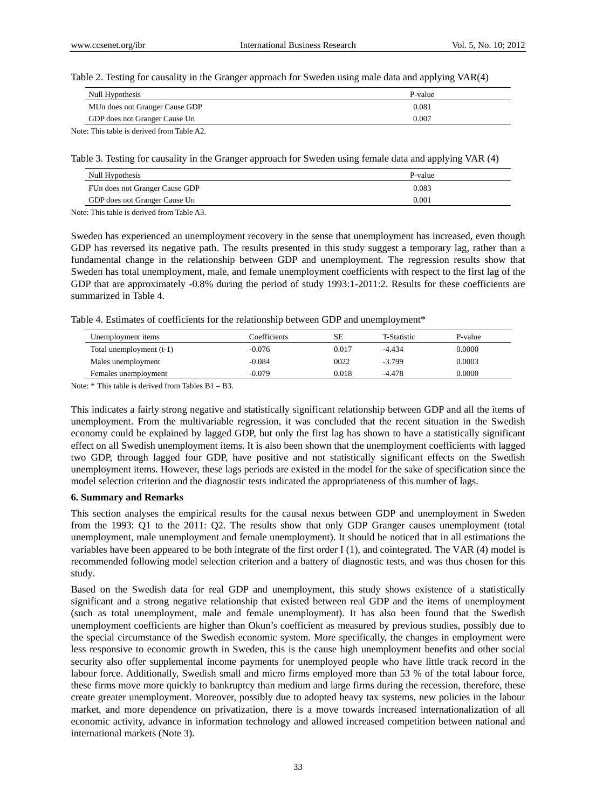Table 2. Testing for causality in the Granger approach for Sweden using male data and applying VAR(4)

| Null Hypothesis                | P-value |
|--------------------------------|---------|
| MUn does not Granger Cause GDP | 0.081   |
| GDP does not Granger Cause Un  | 0.007   |

Note: This table is derived from Table A2.

Table 3. Testing for causality in the Granger approach for Sweden using female data and applying VAR (4)

| Null Hypothesis                | P-value |
|--------------------------------|---------|
| FUn does not Granger Cause GDP | 0.083   |
| GDP does not Granger Cause Un  | 0.001   |
|                                |         |

Note: This table is derived from Table A3.

Sweden has experienced an unemployment recovery in the sense that unemployment has increased, even though GDP has reversed its negative path. The results presented in this study suggest a temporary lag, rather than a fundamental change in the relationship between GDP and unemployment. The regression results show that Sweden has total unemployment, male, and female unemployment coefficients with respect to the first lag of the GDP that are approximately -0.8% during the period of study 1993:1-2011:2. Results for these coefficients are summarized in Table 4.

Table 4. Estimates of coefficients for the relationship between GDP and unemployment\*

| Unemployment items       | Coefficients | SE    | T-Statistic | P-value |
|--------------------------|--------------|-------|-------------|---------|
| Total unemployment (t-1) | $-0.076$     | 0.017 | $-4.434$    | 0.0000  |
| Males unemployment       | $-0.084$     | 0022  | $-3.799$    | 0.0003  |
| Females unemployment     | $-0.079$     | 0.018 | $-4.478$    | 0.0000  |

Note: \* This table is derived from Tables B1 – B3.

This indicates a fairly strong negative and statistically significant relationship between GDP and all the items of unemployment. From the multivariable regression, it was concluded that the recent situation in the Swedish economy could be explained by lagged GDP, but only the first lag has shown to have a statistically significant effect on all Swedish unemployment items. It is also been shown that the unemployment coefficients with lagged two GDP, through lagged four GDP, have positive and not statistically significant effects on the Swedish unemployment items. However, these lags periods are existed in the model for the sake of specification since the model selection criterion and the diagnostic tests indicated the appropriateness of this number of lags.

#### **6. Summary and Remarks**

This section analyses the empirical results for the causal nexus between GDP and unemployment in Sweden from the 1993: Q1 to the 2011: Q2. The results show that only GDP Granger causes unemployment (total unemployment, male unemployment and female unemployment). It should be noticed that in all estimations the variables have been appeared to be both integrate of the first order I (1), and cointegrated. The VAR (4) model is recommended following model selection criterion and a battery of diagnostic tests, and was thus chosen for this study.

Based on the Swedish data for real GDP and unemployment, this study shows existence of a statistically significant and a strong negative relationship that existed between real GDP and the items of unemployment (such as total unemployment, male and female unemployment). It has also been found that the Swedish unemployment coefficients are higher than Okun's coefficient as measured by previous studies, possibly due to the special circumstance of the Swedish economic system. More specifically, the changes in employment were less responsive to economic growth in Sweden, this is the cause high unemployment benefits and other social security also offer supplemental income payments for unemployed people who have little track record in the labour force. Additionally, Swedish small and micro firms employed more than 53 % of the total labour force, these firms move more quickly to bankruptcy than medium and large firms during the recession, therefore, these create greater unemployment. Moreover, possibly due to adopted heavy tax systems, new policies in the labour market, and more dependence on privatization, there is a move towards increased internationalization of all economic activity, advance in information technology and allowed increased competition between national and international markets (Note 3).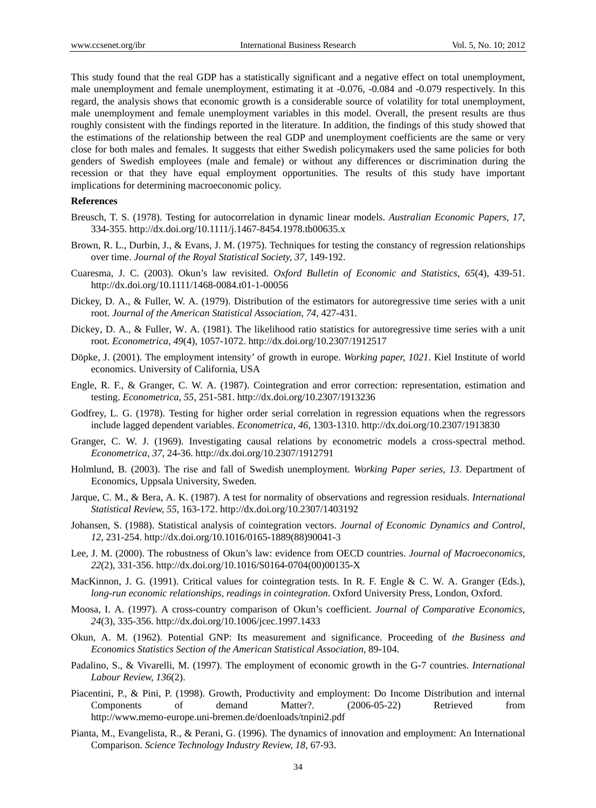This study found that the real GDP has a statistically significant and a negative effect on total unemployment, male unemployment and female unemployment, estimating it at -0.076, -0.084 and -0.079 respectively. In this regard, the analysis shows that economic growth is a considerable source of volatility for total unemployment, male unemployment and female unemployment variables in this model. Overall, the present results are thus roughly consistent with the findings reported in the literature. In addition, the findings of this study showed that the estimations of the relationship between the real GDP and unemployment coefficients are the same or very close for both males and females. It suggests that either Swedish policymakers used the same policies for both genders of Swedish employees (male and female) or without any differences or discrimination during the recession or that they have equal employment opportunities. The results of this study have important implications for determining macroeconomic policy.

#### **References**

- Breusch, T. S. (1978). Testing for autocorrelation in dynamic linear models. *Australian Economic Papers, 17*, 334-355. http://dx.doi.org/10.1111/j.1467-8454.1978.tb00635.x
- Brown, R. L., Durbin, J., & Evans, J. M. (1975). Techniques for testing the constancy of regression relationships over time. *Journal of the Royal Statistical Society, 37*, 149-192.
- Cuaresma, J. C. (2003). Okun's law revisited. *Oxford Bulletin of Economic and Statistics*, *65*(4), 439-51. http://dx.doi.org/10.1111/1468-0084.t01-1-00056
- Dickey, D. A., & Fuller, W. A. (1979). Distribution of the estimators for autoregressive time series with a unit root. *Journal of the American Statistical Association*, *74*, 427-431.
- Dickey, D. A., & Fuller, W. A. (1981). The likelihood ratio statistics for autoregressive time series with a unit root. *Econometrica*, *49*(4), 1057-1072. http://dx.doi.org/10.2307/1912517
- Döpke, J. (2001). The employment intensity' of growth in europe. *Working paper, 1021*. Kiel Institute of world economics. University of California, USA
- Engle, R. F., & Granger, C. W. A. (1987). Cointegration and error correction: representation, estimation and testing. *Econometrica*, *55*, 251-581. http://dx.doi.org/10.2307/1913236
- Godfrey, L. G. (1978). Testing for higher order serial correlation in regression equations when the regressors include lagged dependent variables. *Econometrica, 46*, 1303-1310. http://dx.doi.org/10.2307/1913830
- Granger, C. W. J. (1969). Investigating causal relations by econometric models a cross-spectral method. *Econometrica*, *37*, 24-36. http://dx.doi.org/10.2307/1912791
- Holmlund, B. (2003). The rise and fall of Swedish unemployment. *Working Paper series, 13*. Department of Economics, Uppsala University, Sweden.
- Jarque, C. M., & Bera, A. K. (1987). A test for normality of observations and regression residuals. *International Statistical Review, 55*, 163-172. http://dx.doi.org/10.2307/1403192
- Johansen, S. (1988). Statistical analysis of cointegration vectors. *Journal of Economic Dynamics and Control, 12*, 231-254. http://dx.doi.org/10.1016/0165-1889(88)90041-3
- Lee, J. M. (2000). The robustness of Okun's law: evidence from OECD countries. *Journal of Macroeconomics*, *22*(2), 331-356. http://dx.doi.org/10.1016/S0164-0704(00)00135-X
- MacKinnon, J. G. (1991). Critical values for cointegration tests. In R. F. Engle & C. W. A. Granger (Eds.), *long-run economic relationships, readings in cointegration*. Oxford University Press, London, Oxford.
- Moosa, I. A. (1997). A cross-country comparison of Okun's coefficient. *Journal of Comparative Economics, 24*(3), 335-356. http://dx.doi.org/10.1006/jcec.1997.1433
- Okun, A. M. (1962). Potential GNP: Its measurement and significance. Proceeding of *the Business and Economics Statistics Section of the American Statistical Association,* 89-104.
- Padalino, S., & Vivarelli, M. (1997). The employment of economic growth in the G-7 countries. *International Labour Review, 136*(2).
- Piacentini, P., & Pini, P. (1998). Growth, Productivity and employment: Do Income Distribution and internal Components of demand Matter?. (2006-05-22) Retrieved from http://www.memo-europe.uni-bremen.de/doenloads/tnpini2.pdf
- Pianta, M., Evangelista, R., & Perani, G. (1996). The dynamics of innovation and employment: An International Comparison. *Science Technology Industry Review, 18*, 67-93.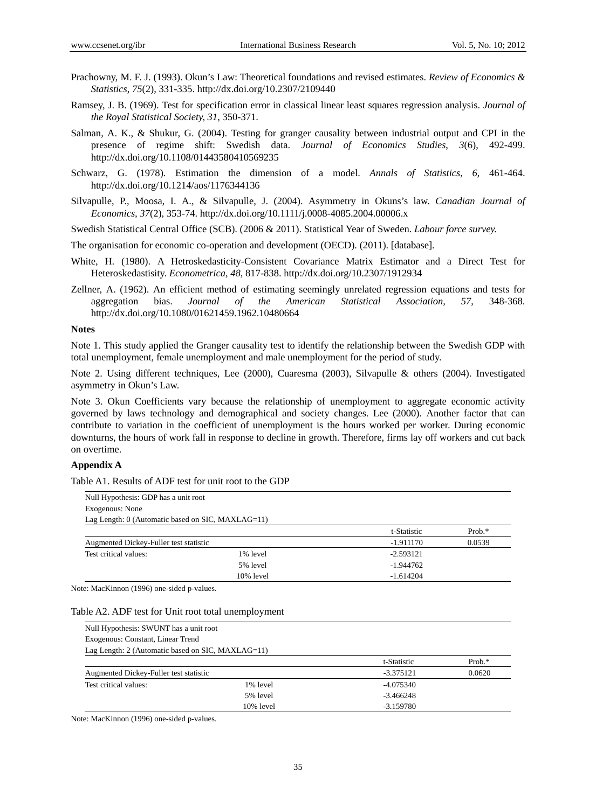- Prachowny, M. F. J. (1993). Okun's Law: Theoretical foundations and revised estimates. *Review of Economics & Statistics*, *75*(2), 331-335. http://dx.doi.org/10.2307/2109440
- Ramsey, J. B. (1969). Test for specification error in classical linear least squares regression analysis. *Journal of the Royal Statistical Society, 31*, 350-371.
- Salman, A. K., & Shukur, G. (2004). Testing for granger causality between industrial output and CPI in the presence of regime shift: Swedish data. *Journal of Economics Studies*, *3*(6), 492-499. http://dx.doi.org/10.1108/01443580410569235
- Schwarz, G. (1978). Estimation the dimension of a model. *Annals of Statistics*, *6*, 461-464. http://dx.doi.org/10.1214/aos/1176344136
- Silvapulle, P., Moosa, I. A., & Silvapulle, J. (2004). Asymmetry in Okuns's law. *Canadian Journal of Economics, 37*(2), 353-74. http://dx.doi.org/10.1111/j.0008-4085.2004.00006.x
- Swedish Statistical Central Office (SCB). (2006 & 2011). Statistical Year of Sweden. *Labour force survey.*
- The organisation for economic co-operation and development (OECD). (2011). [database].
- White, H. (1980). A Hetroskedasticity-Consistent Covariance Matrix Estimator and a Direct Test for Heteroskedastisity. *Econometrica*, *48*, 817-838. http://dx.doi.org/10.2307/1912934
- Zellner, A. (1962). An efficient method of estimating seemingly unrelated regression equations and tests for aggregation bias. *Journal of the American Statistical Association, 57*, 348-368. http://dx.doi.org/10.1080/01621459.1962.10480664

#### **Notes**

Note 1. This study applied the Granger causality test to identify the relationship between the Swedish GDP with total unemployment, female unemployment and male unemployment for the period of study.

Note 2. Using different techniques, Lee (2000), Cuaresma (2003), Silvapulle & others (2004). Investigated asymmetry in Okun's Law.

Note 3. Okun Coefficients vary because the relationship of unemployment to aggregate economic activity governed by laws technology and demographical and society changes. Lee (2000). Another factor that can contribute to variation in the coefficient of unemployment is the hours worked per worker. During economic downturns, the hours of work fall in response to decline in growth. Therefore, firms lay off workers and cut back on overtime.

#### **Appendix A**

Table A1. Results of ADF test for unit root to the GDP

| Null Hypothesis: GDP has a unit root              |           |             |          |
|---------------------------------------------------|-----------|-------------|----------|
| Exogenous: None                                   |           |             |          |
| Lag Length: 0 (Automatic based on SIC, MAXLAG=11) |           |             |          |
|                                                   |           | t-Statistic | $Prob.*$ |
| Augmented Dickey-Fuller test statistic            |           | $-1.911170$ | 0.0539   |
| Test critical values:                             | 1% level  | $-2.593121$ |          |
|                                                   | 5% level  | $-1.944762$ |          |
|                                                   | 10% level | $-1.614204$ |          |

Note: MacKinnon (1996) one-sided p-values.

#### Table A2. ADF test for Unit root total unemployment

| Null Hypothesis: SWUNT has a unit root            |           |             |           |
|---------------------------------------------------|-----------|-------------|-----------|
| Exogenous: Constant, Linear Trend                 |           |             |           |
| Lag Length: 2 (Automatic based on SIC, MAXLAG=11) |           |             |           |
|                                                   |           | t-Statistic | Prob. $*$ |
| Augmented Dickey-Fuller test statistic            |           | $-3.375121$ | 0.0620    |
| Test critical values:                             | 1% level  | $-4.075340$ |           |
|                                                   | 5% level  | $-3.466248$ |           |
|                                                   | 10% level | $-3.159780$ |           |

Note: MacKinnon (1996) one-sided p-values.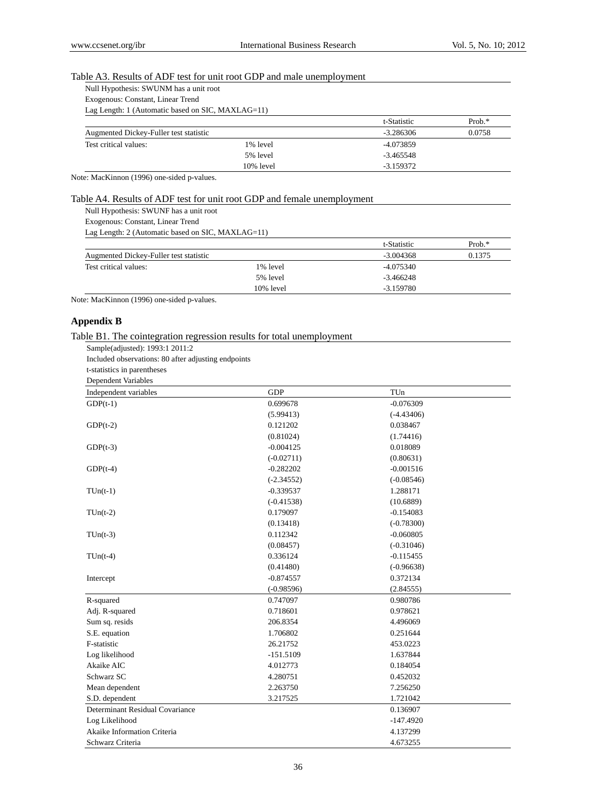### Table A3. Results of ADF test for unit root GDP and male unemployment

| Null Hypothesis: SWUNM has a unit root |  |  |
|----------------------------------------|--|--|
|                                        |  |  |

Exogenous: Constant, Linear Trend Lag Length: 1 (Automatic based on SIC, MAXLAG=11)

|                                        |           | t-Statistic | Prob. $*$ |
|----------------------------------------|-----------|-------------|-----------|
| Augmented Dickey-Fuller test statistic |           | -3.286306   | 0.0758    |
| Test critical values:                  | 1% level  | -4.073859   |           |
|                                        | 5% level  | $-3.465548$ |           |
|                                        | 10% level | $-3.159372$ |           |

Note: MacKinnon (1996) one-sided p-values.

### Table A4. Results of ADF test for unit root GDP and female unemployment

Null Hypothesis: SWUNF has a unit root

Exogenous: Constant, Linear Trend

Lag Length: 2 (Automatic based on SIC, MAXLAG=11)

|                                        |           | t-Statistic | $Prob.*$ |
|----------------------------------------|-----------|-------------|----------|
| Augmented Dickey-Fuller test statistic |           | $-3.004368$ | 0.1375   |
| Test critical values:                  | 1% level  | $-4.075340$ |          |
|                                        | 5% level  | $-3.466248$ |          |
|                                        | 10% level | $-3.159780$ |          |

Note: MacKinnon (1996) one-sided p-values.

# **Appendix B**

### Table B1. The cointegration regression results for total unemployment

Sample(adjusted): 1993:1 2011:2

Included observations: 80 after adjusting endpoints t-statistics in parentheses

| <b>Dependent Variables</b>      |              |              |  |
|---------------------------------|--------------|--------------|--|
| Independent variables           | <b>GDP</b>   | TUn          |  |
| $GDP(t-1)$                      | 0.699678     | $-0.076309$  |  |
|                                 | (5.99413)    | $(-4.43406)$ |  |
| $GDP(t-2)$                      | 0.121202     | 0.038467     |  |
|                                 | (0.81024)    | (1.74416)    |  |
| $GDP(t-3)$                      | $-0.004125$  | 0.018089     |  |
|                                 | $(-0.02711)$ | (0.80631)    |  |
| $GDP(t-4)$                      | $-0.282202$  | $-0.001516$  |  |
|                                 | $(-2.34552)$ | $(-0.08546)$ |  |
| $TUn(t-1)$                      | $-0.339537$  | 1.288171     |  |
|                                 | $(-0.41538)$ | (10.6889)    |  |
| $TUn(t-2)$                      | 0.179097     | $-0.154083$  |  |
|                                 | (0.13418)    | $(-0.78300)$ |  |
| $TUn(t-3)$                      | 0.112342     | $-0.060805$  |  |
|                                 | (0.08457)    | $(-0.31046)$ |  |
| $TUn(t-4)$                      | 0.336124     | $-0.115455$  |  |
|                                 | (0.41480)    | $(-0.96638)$ |  |
| Intercept                       | $-0.874557$  | 0.372134     |  |
|                                 | $(-0.98596)$ | (2.84555)    |  |
| R-squared                       | 0.747097     | 0.980786     |  |
| Adj. R-squared                  | 0.718601     | 0.978621     |  |
| Sum sq. resids                  | 206.8354     | 4.496069     |  |
| S.E. equation                   | 1.706802     | 0.251644     |  |
| F-statistic                     | 26.21752     | 453.0223     |  |
| Log likelihood                  | $-151.5109$  | 1.637844     |  |
| Akaike AIC                      | 4.012773     | 0.184054     |  |
| Schwarz SC                      | 4.280751     | 0.452032     |  |
| Mean dependent                  | 2.263750     | 7.256250     |  |
| S.D. dependent                  | 3.217525     | 1.721042     |  |
| Determinant Residual Covariance |              | 0.136907     |  |
| Log Likelihood                  |              | $-147.4920$  |  |
| Akaike Information Criteria     |              | 4.137299     |  |
| Schwarz Criteria                |              | 4.673255     |  |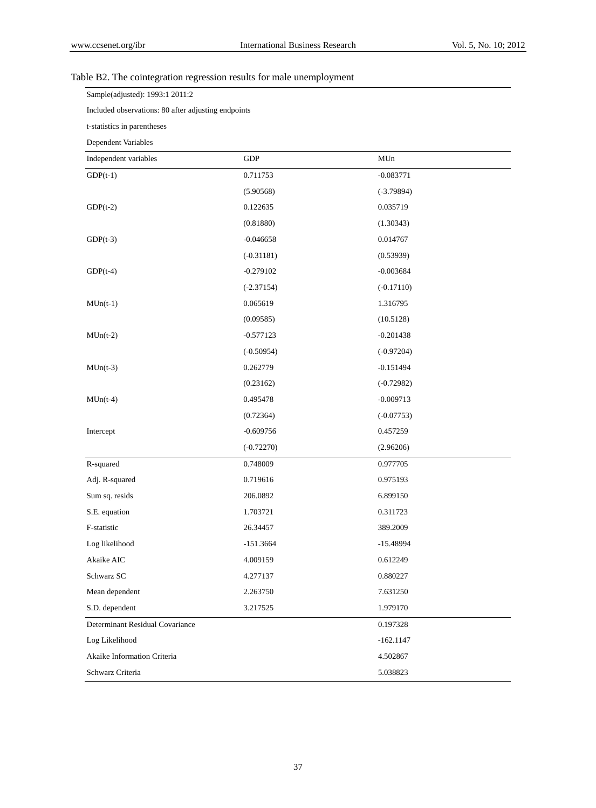# Table B2. The cointegration regression results for male unemployment

Sample(adjusted): 1993:1 2011:2

Included observations: 80 after adjusting endpoints

t-statistics in parentheses

Dependent Variables

| Independent variables           | <b>GDP</b>   | MUn          |
|---------------------------------|--------------|--------------|
| $GDP(t-1)$                      | 0.711753     | $-0.083771$  |
|                                 | (5.90568)    | $(-3.79894)$ |
| $GDP(t-2)$                      | 0.122635     | 0.035719     |
|                                 | (0.81880)    | (1.30343)    |
| $GDP(t-3)$                      | $-0.046658$  | 0.014767     |
|                                 | $(-0.31181)$ | (0.53939)    |
| $GDP(t-4)$                      | $-0.279102$  | $-0.003684$  |
|                                 | $(-2.37154)$ | $(-0.17110)$ |
| $MUn(t-1)$                      | 0.065619     | 1.316795     |
|                                 | (0.09585)    | (10.5128)    |
| $MUn(t-2)$                      | $-0.577123$  | $-0.201438$  |
|                                 | $(-0.50954)$ | $(-0.97204)$ |
| $MUn(t-3)$                      | 0.262779     | $-0.151494$  |
|                                 | (0.23162)    | $(-0.72982)$ |
| $MUn(t-4)$                      | 0.495478     | $-0.009713$  |
|                                 | (0.72364)    | $(-0.07753)$ |
| Intercept                       | $-0.609756$  | 0.457259     |
|                                 | $(-0.72270)$ | (2.96206)    |
| R-squared                       | 0.748009     | 0.977705     |
| Adj. R-squared                  | 0.719616     | 0.975193     |
| Sum sq. resids                  | 206.0892     | 6.899150     |
| S.E. equation                   | 1.703721     | 0.311723     |
| F-statistic                     | 26.34457     | 389.2009     |
| Log likelihood                  | $-151.3664$  | $-15.48994$  |
| Akaike AIC                      | 4.009159     | 0.612249     |
| Schwarz SC                      | 4.277137     | 0.880227     |
| Mean dependent                  | 2.263750     | 7.631250     |
| S.D. dependent                  | 3.217525     | 1.979170     |
| Determinant Residual Covariance |              | 0.197328     |
| Log Likelihood                  |              | $-162.1147$  |
| Akaike Information Criteria     |              | 4.502867     |
| Schwarz Criteria                |              | 5.038823     |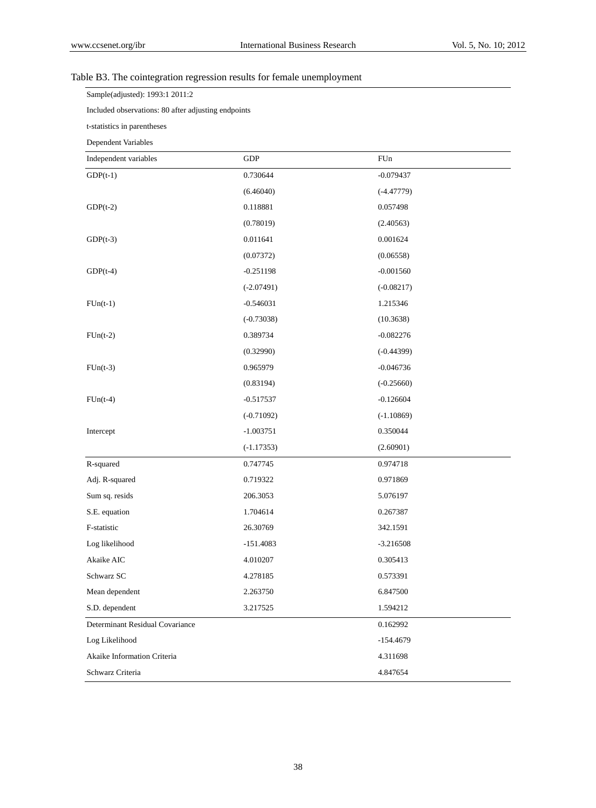# Table B3. The cointegration regression results for female unemployment

Sample(adjusted): 1993:1 2011:2

Included observations: 80 after adjusting endpoints

t-statistics in parentheses

Dependent Variables

| Independent variables           | GDP          | FUn          |
|---------------------------------|--------------|--------------|
| $GDP(t-1)$                      | 0.730644     | $-0.079437$  |
|                                 | (6.46040)    | $(-4.47779)$ |
| $GDP(t-2)$                      | 0.118881     | 0.057498     |
|                                 | (0.78019)    | (2.40563)    |
| $GDP(t-3)$                      | 0.011641     | 0.001624     |
|                                 | (0.07372)    | (0.06558)    |
| $GDP(t-4)$                      | $-0.251198$  | $-0.001560$  |
|                                 | $(-2.07491)$ | $(-0.08217)$ |
| $FUn(t-1)$                      | $-0.546031$  | 1.215346     |
|                                 | $(-0.73038)$ | (10.3638)    |
| $FUn(t-2)$                      | 0.389734     | $-0.082276$  |
|                                 | (0.32990)    | $(-0.44399)$ |
| $FUn(t-3)$                      | 0.965979     | $-0.046736$  |
|                                 | (0.83194)    | $(-0.25660)$ |
| $FUn(t-4)$                      | $-0.517537$  | $-0.126604$  |
|                                 | $(-0.71092)$ | $(-1.10869)$ |
| Intercept                       | $-1.003751$  | 0.350044     |
|                                 | $(-1.17353)$ | (2.60901)    |
| R-squared                       | 0.747745     | 0.974718     |
| Adj. R-squared                  | 0.719322     | 0.971869     |
| Sum sq. resids                  | 206.3053     | 5.076197     |
| S.E. equation                   | 1.704614     | 0.267387     |
| F-statistic                     | 26.30769     | 342.1591     |
| Log likelihood                  | $-151.4083$  | $-3.216508$  |
| Akaike AIC                      | 4.010207     | 0.305413     |
| Schwarz SC                      | 4.278185     | 0.573391     |
| Mean dependent                  | 2.263750     | 6.847500     |
| S.D. dependent                  | 3.217525     | 1.594212     |
| Determinant Residual Covariance |              | 0.162992     |
| Log Likelihood                  |              | $-154.4679$  |
| Akaike Information Criteria     |              | 4.311698     |
| Schwarz Criteria                |              | 4.847654     |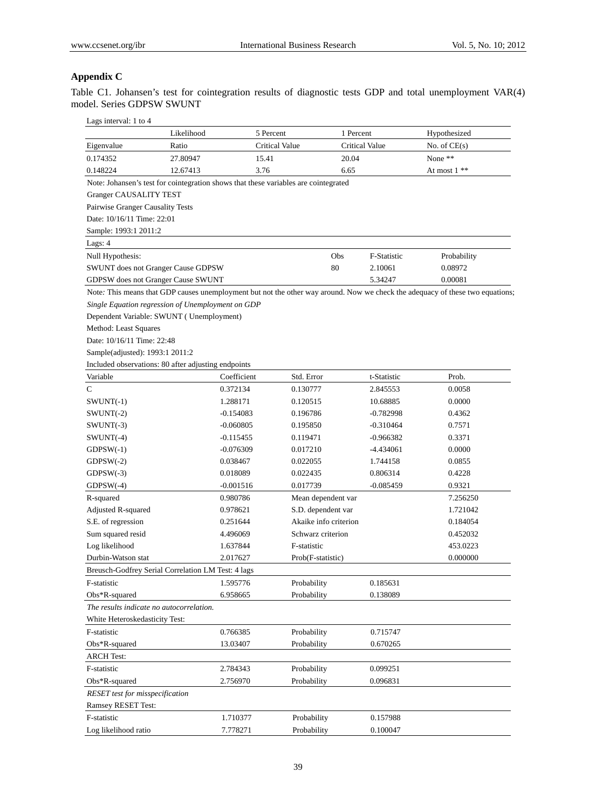# **Appendix C**

Table C1. Johansen's test for cointegration results of diagnostic tests GDP and total unemployment VAR(4) model. Series GDPSW SWUNT

| Lags interval: 1 to 4                    |                                                                                     |                |                       |             |                                                                                                                               |
|------------------------------------------|-------------------------------------------------------------------------------------|----------------|-----------------------|-------------|-------------------------------------------------------------------------------------------------------------------------------|
|                                          | Likelihood                                                                          | 5 Percent      | 1 Percent             |             | Hypothesized                                                                                                                  |
| Eigenvalue                               | Ratio                                                                               | Critical Value | Critical Value        |             | No. of $CE(s)$                                                                                                                |
| 0.174352                                 | 27.80947                                                                            | 15.41          | 20.04                 |             | None **                                                                                                                       |
| 0.148224                                 | 12.67413                                                                            | 3.76           | 6.65                  |             | At most $1$ **                                                                                                                |
|                                          | Note: Johansen's test for cointegration shows that these variables are cointegrated |                |                       |             |                                                                                                                               |
| Granger CAUSALITY TEST                   |                                                                                     |                |                       |             |                                                                                                                               |
| Pairwise Granger Causality Tests         |                                                                                     |                |                       |             |                                                                                                                               |
| Date: 10/16/11 Time: 22:01               |                                                                                     |                |                       |             |                                                                                                                               |
| Sample: 1993:1 2011:2                    |                                                                                     |                |                       |             |                                                                                                                               |
| Lags: 4                                  |                                                                                     |                |                       |             |                                                                                                                               |
| Null Hypothesis:                         |                                                                                     |                | Obs                   | F-Statistic | Probability                                                                                                                   |
| SWUNT does not Granger Cause GDPSW       |                                                                                     |                | 80                    | 2.10061     | 0.08972                                                                                                                       |
| GDPSW does not Granger Cause SWUNT       |                                                                                     |                |                       | 5.34247     | 0.00081                                                                                                                       |
|                                          |                                                                                     |                |                       |             | Note: This means that GDP causes unemployment but not the other way around. Now we check the adequacy of these two equations; |
|                                          | Single Equation regression of Unemployment on GDP                                   |                |                       |             |                                                                                                                               |
|                                          | Dependent Variable: SWUNT (Unemployment)                                            |                |                       |             |                                                                                                                               |
| Method: Least Squares                    |                                                                                     |                |                       |             |                                                                                                                               |
| Date: 10/16/11 Time: 22:48               |                                                                                     |                |                       |             |                                                                                                                               |
| Sample(adjusted): 1993:1 2011:2          |                                                                                     |                |                       |             |                                                                                                                               |
|                                          | Included observations: 80 after adjusting endpoints                                 |                |                       |             |                                                                                                                               |
| Variable                                 | Coefficient                                                                         | Std. Error     |                       | t-Statistic | Prob.                                                                                                                         |
| C                                        | 0.372134                                                                            | 0.130777       |                       | 2.845553    | 0.0058                                                                                                                        |
| $SWUNT(-1)$                              | 1.288171                                                                            | 0.120515       |                       | 10.68885    | 0.0000                                                                                                                        |
| $SWUNT(-2)$                              | $-0.154083$                                                                         | 0.196786       |                       | $-0.782998$ | 0.4362                                                                                                                        |
| $SWUNT(-3)$                              | $-0.060805$                                                                         | 0.195850       |                       | $-0.310464$ | 0.7571                                                                                                                        |
| $SWUNT(-4)$                              | $-0.115455$                                                                         | 0.119471       |                       | $-0.966382$ | 0.3371                                                                                                                        |
| $GDPSW(-1)$                              | $-0.076309$                                                                         | 0.017210       |                       | -4.434061   | 0.0000                                                                                                                        |
| $GDPSW(-2)$                              | 0.038467                                                                            | 0.022055       |                       | 1.744158    | 0.0855                                                                                                                        |
| $GDPSW(-3)$                              | 0.018089                                                                            | 0.022435       |                       | 0.806314    | 0.4228                                                                                                                        |
| $GDPSW(-4)$                              | $-0.001516$                                                                         | 0.017739       |                       | $-0.085459$ | 0.9321                                                                                                                        |
| R-squared                                | 0.980786                                                                            |                | Mean dependent var    |             | 7.256250                                                                                                                      |
| Adjusted R-squared                       | 0.978621                                                                            |                | S.D. dependent var    |             | 1.721042                                                                                                                      |
| S.E. of regression                       | 0.251644                                                                            |                | Akaike info criterion |             | 0.184054                                                                                                                      |
| Sum squared resid                        | 4.496069                                                                            |                | Schwarz criterion     |             | 0.452032                                                                                                                      |
| Log likelihood                           | 1.637844                                                                            | F-statistic    |                       |             | 453.0223                                                                                                                      |
| Durbin-Watson stat                       | 2.017627                                                                            |                | Prob(F-statistic)     |             | 0.000000                                                                                                                      |
|                                          | Breusch-Godfrey Serial Correlation LM Test: 4 lags                                  |                |                       |             |                                                                                                                               |
| F-statistic                              | 1.595776                                                                            | Probability    |                       | 0.185631    |                                                                                                                               |
| $Obs*R$ -squared                         | 6.958665                                                                            | Probability    |                       | 0.138089    |                                                                                                                               |
| The results indicate no autocorrelation. |                                                                                     |                |                       |             |                                                                                                                               |
| White Heteroskedasticity Test:           |                                                                                     |                |                       |             |                                                                                                                               |
| F-statistic                              | 0.766385                                                                            | Probability    |                       | 0.715747    |                                                                                                                               |
| Obs*R-squared                            | 13.03407                                                                            | Probability    |                       | 0.670265    |                                                                                                                               |
| <b>ARCH Test:</b>                        |                                                                                     |                |                       |             |                                                                                                                               |
| F-statistic                              | 2.784343                                                                            | Probability    |                       | 0.099251    |                                                                                                                               |
| Obs*R-squared                            | 2.756970                                                                            | Probability    |                       | 0.096831    |                                                                                                                               |
| <b>RESET</b> test for misspecification   |                                                                                     |                |                       |             |                                                                                                                               |
| Ramsey RESET Test:                       |                                                                                     |                |                       |             |                                                                                                                               |
| F-statistic                              | 1.710377                                                                            | Probability    |                       | 0.157988    |                                                                                                                               |
| Log likelihood ratio                     | 7.778271                                                                            | Probability    |                       | 0.100047    |                                                                                                                               |
|                                          |                                                                                     |                |                       |             |                                                                                                                               |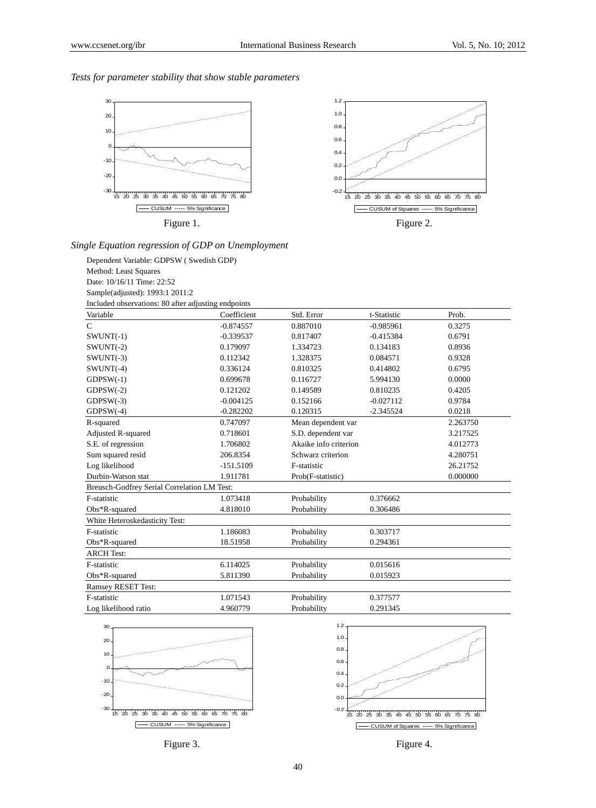1.2

### *Tests for parameter stability that show stable parameters*







# *Single Equation regression of GDP on Unemployment*

Dependent Variable: GDPSW ( Swedish GDP) Method: Least Squares Date: 10/16/11 Time: 22:52 Sample(adjusted): 1993:1 2011:2 Included observations: 80 after adjusting endpoints

| Variable                                    | Coefficient | Std. Error            | t-Statistic | Prob.    |
|---------------------------------------------|-------------|-----------------------|-------------|----------|
| $\mathcal{C}$                               | $-0.874557$ | 0.887010              | $-0.985961$ | 0.3275   |
| $SWUNT(-1)$                                 | $-0.339537$ | 0.817407              | $-0.415384$ | 0.6791   |
| $SWUNT(-2)$                                 | 0.179097    | 1.334723              | 0.134183    | 0.8936   |
| $SWUNT(-3)$                                 | 0.112342    | 1.328375              | 0.084571    | 0.9328   |
| $SWUNT(-4)$                                 | 0.336124    | 0.810325              | 0.414802    | 0.6795   |
| $GDPSW(-1)$                                 | 0.699678    | 0.116727              | 5.994130    | 0.0000   |
| $GDPSW(-2)$                                 | 0.121202    | 0.149589              | 0.810235    | 0.4205   |
| $GDPSW(-3)$                                 | $-0.004125$ | 0.152166              | $-0.027112$ | 0.9784   |
| $GDPSW(-4)$                                 | $-0.282202$ | 0.120315              | $-2.345524$ | 0.0218   |
| R-squared                                   | 0.747097    | Mean dependent var    |             | 2.263750 |
| Adjusted R-squared                          | 0.718601    | S.D. dependent var    |             | 3.217525 |
| S.E. of regression                          | 1.706802    | Akaike info criterion |             | 4.012773 |
| Sum squared resid                           | 206.8354    | Schwarz criterion     |             | 4.280751 |
| Log likelihood                              | $-151.5109$ | F-statistic           |             | 26.21752 |
| Durbin-Watson stat                          | 1.911781    | Prob(F-statistic)     |             | 0.000000 |
| Breusch-Godfrey Serial Correlation LM Test: |             |                       |             |          |
| F-statistic                                 | 1.073418    | Probability           | 0.376662    |          |
| $Obs*R$ -squared                            | 4.818010    | Probability           | 0.306486    |          |
| White Heteroskedasticity Test:              |             |                       |             |          |
| F-statistic                                 | 1.186083    | Probability           | 0.303717    |          |
| $Obs*R$ -squared                            | 18.51958    | Probability           | 0.294361    |          |
| <b>ARCH</b> Test:                           |             |                       |             |          |
| F-statistic                                 | 6.114025    | Probability           | 0.015616    |          |
| Obs*R-squared                               | 5.811390    | Probability           | 0.015923    |          |
| <b>Ramsey RESET Test:</b>                   |             |                       |             |          |
| F-statistic                                 | 1.071543    | Probability           | 0.377577    |          |
| Log likelihood ratio                        | 4.960779    | Probability           | 0.291345    |          |







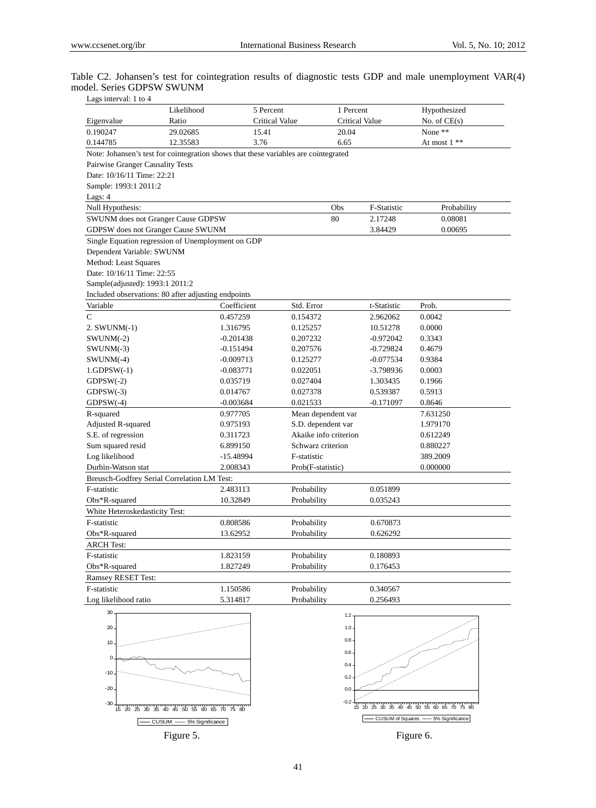|                            |  |  |  |  | Table C2. Johansen's test for cointegration results of diagnostic tests GDP and male unemployment VAR(4) |  |
|----------------------------|--|--|--|--|----------------------------------------------------------------------------------------------------------|--|
| model. Series GDPSW SWUNM  |  |  |  |  |                                                                                                          |  |
| I ags interval: $1$ to $4$ |  |  |  |  |                                                                                                          |  |

| Lags interval: 1 to 4                                                               |            |                       |                       |                       |             |                |  |
|-------------------------------------------------------------------------------------|------------|-----------------------|-----------------------|-----------------------|-------------|----------------|--|
|                                                                                     | Likelihood | 5 Percent             |                       | 1 Percent             |             | Hypothesized   |  |
| Eigenvalue                                                                          | Ratio      | <b>Critical Value</b> |                       | <b>Critical Value</b> |             | No. of $CE(s)$ |  |
| 0.190247                                                                            | 29.02685   | 15.41                 |                       | 20.04                 |             | None **        |  |
| 0.144785                                                                            | 12.35583   | 3.76                  |                       | 6.65                  |             | At most 1 **   |  |
| Note: Johansen's test for cointegration shows that these variables are cointegrated |            |                       |                       |                       |             |                |  |
| Pairwise Granger Causality Tests                                                    |            |                       |                       |                       |             |                |  |
| Date: 10/16/11 Time: 22:21                                                          |            |                       |                       |                       |             |                |  |
| Sample: 1993:1 2011:2                                                               |            |                       |                       |                       |             |                |  |
| Lags: 4                                                                             |            |                       |                       |                       |             |                |  |
| Null Hypothesis:                                                                    |            |                       |                       | Obs                   | F-Statistic | Probability    |  |
| SWUNM does not Granger Cause GDPSW                                                  |            |                       |                       | 80                    | 2.17248     | 0.08081        |  |
| GDPSW does not Granger Cause SWUNM                                                  |            |                       |                       |                       | 3.84429     | 0.00695        |  |
| Single Equation regression of Unemployment on GDP                                   |            |                       |                       |                       |             |                |  |
| Dependent Variable: SWUNM                                                           |            |                       |                       |                       |             |                |  |
| Method: Least Squares                                                               |            |                       |                       |                       |             |                |  |
| Date: 10/16/11 Time: 22:55                                                          |            |                       |                       |                       |             |                |  |
| Sample(adjusted): 1993:1 2011:2                                                     |            |                       |                       |                       |             |                |  |
| Included observations: 80 after adjusting endpoints                                 |            |                       |                       |                       |             |                |  |
| Variable                                                                            |            | Coefficient           | Std. Error            |                       | t-Statistic | Prob.          |  |
| $\mathsf{C}$                                                                        |            | 0.457259              | 0.154372              |                       | 2.962062    | 0.0042         |  |
| $2.$ SWUNM $(-1)$                                                                   |            | 1.316795              | 0.125257              |                       | 10.51278    | 0.0000         |  |
| $SWUNM(-2)$                                                                         |            | $-0.201438$           | 0.207232              |                       | $-0.972042$ | 0.3343         |  |
| $SWUNM(-3)$                                                                         |            | $-0.151494$           | 0.207576              |                       | $-0.729824$ | 0.4679         |  |
| $SWUNM(-4)$                                                                         |            | $-0.009713$           | 0.125277              |                       | $-0.077534$ | 0.9384         |  |
| $1.GDPSW(-1)$                                                                       |            | $-0.083771$           | 0.022051              |                       | -3.798936   | 0.0003         |  |
| $GDPSW(-2)$                                                                         |            | 0.035719              | 0.027404              |                       | 1.303435    | 0.1966         |  |
| $GDPSW(-3)$                                                                         |            | 0.014767              | 0.027378              |                       | 0.539387    | 0.5913         |  |
| $GDPSW(-4)$                                                                         |            | $-0.003684$           | 0.021533              |                       | $-0.171097$ | 0.8646         |  |
| R-squared                                                                           |            | 0.977705              | Mean dependent var    |                       |             | 7.631250       |  |
| Adjusted R-squared                                                                  |            | 0.975193              | S.D. dependent var    |                       |             | 1.979170       |  |
| S.E. of regression                                                                  |            | 0.311723              | Akaike info criterion |                       |             | 0.612249       |  |
| Sum squared resid                                                                   |            | 6.899150              | Schwarz criterion     |                       |             | 0.880227       |  |
| Log likelihood                                                                      |            | $-15.48994$           | F-statistic           |                       |             | 389.2009       |  |
| Durbin-Watson stat                                                                  |            | 2.008343              | Prob(F-statistic)     |                       |             | 0.000000       |  |
| Breusch-Godfrey Serial Correlation LM Test:                                         |            |                       |                       |                       |             |                |  |
| F-statistic                                                                         |            | 2.483113              | Probability           |                       | 0.051899    |                |  |
| $Obs*R$ -squared                                                                    |            | 10.32849              | Probability           |                       | 0.035243    |                |  |
| White Heteroskedasticity Test:                                                      |            |                       |                       |                       |             |                |  |
| F-statistic                                                                         |            | 0.808586              | Probability           |                       | 0.670873    |                |  |
| Obs*R-squared                                                                       |            | 13.62952              | Probability           |                       | 0.626292    |                |  |
| <b>ARCH Test:</b>                                                                   |            |                       |                       |                       |             |                |  |
| F-statistic                                                                         |            | 1.823159              | Probability           |                       | 0.180893    |                |  |
| Obs*R-squared                                                                       |            | 1.827249              | Probability           |                       | 0.176453    |                |  |
| Ramsey RESET Test:                                                                  |            |                       |                       |                       |             |                |  |
| F-statistic                                                                         |            | 1.150586              | Probability           |                       | 0.340567    |                |  |
| Log likelihood ratio                                                                |            | 5.314817              | Probability           |                       | 0.256493    |                |  |
|                                                                                     |            |                       |                       |                       |             |                |  |





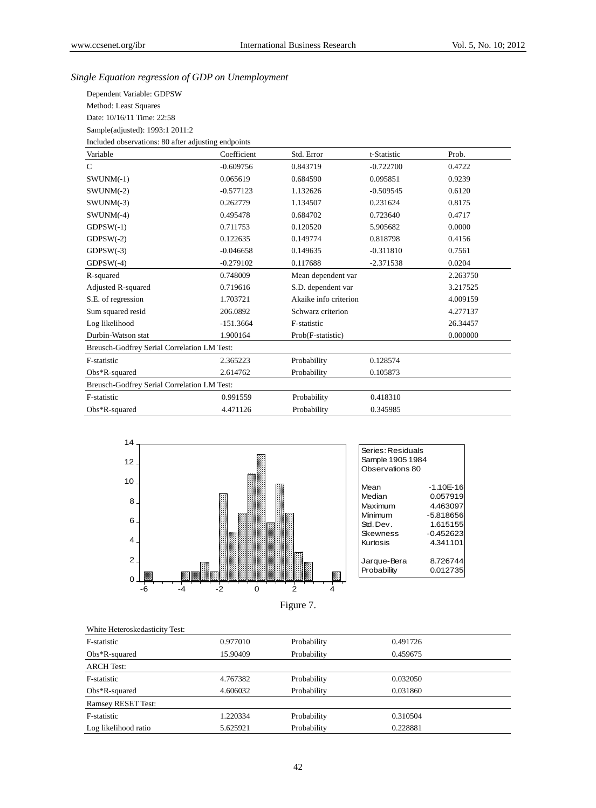# *Single Equation regression of GDP on Unemployment*

| Dependent Variable: GDPSW                           |
|-----------------------------------------------------|
| Method: Least Squares                               |
| Date: 10/16/11 Time: 22:58                          |
| Sample(adjusted): 1993:1 2011:2                     |
| Included observations: 80 after adjusting endpoints |

| Variable                                    | Coefficient | Std. Error            | t-Statistic | Prob.    |
|---------------------------------------------|-------------|-----------------------|-------------|----------|
| $\mathsf{C}$                                | $-0.609756$ | 0.843719              | $-0.722700$ | 0.4722   |
| $SWUNM(-1)$                                 | 0.065619    | 0.684590              | 0.095851    | 0.9239   |
| $SWUNM(-2)$                                 | $-0.577123$ | 1.132626              | $-0.509545$ | 0.6120   |
| $SWUNM(-3)$                                 | 0.262779    | 1.134507              | 0.231624    | 0.8175   |
| $SWUNM(-4)$                                 | 0.495478    | 0.684702              | 0.723640    | 0.4717   |
| $GDPSW(-1)$                                 | 0.711753    | 0.120520              | 5.905682    | 0.0000   |
| $GDPSW(-2)$                                 | 0.122635    | 0.149774              | 0.818798    | 0.4156   |
| $GDPSW(-3)$                                 | $-0.046658$ | 0.149635              | $-0.311810$ | 0.7561   |
| $GDPSW(-4)$                                 | $-0.279102$ | 0.117688              | $-2.371538$ | 0.0204   |
| R-squared                                   | 0.748009    | Mean dependent var    |             | 2.263750 |
| <b>Adjusted R-squared</b>                   | 0.719616    | S.D. dependent var    |             | 3.217525 |
| S.E. of regression                          | 1.703721    | Akaike info criterion |             | 4.009159 |
| Sum squared resid                           | 206.0892    | Schwarz criterion     |             | 4.277137 |
| Log likelihood                              | $-151.3664$ | F-statistic           |             | 26.34457 |
| Durbin-Watson stat                          | 1.900164    | Prob(F-statistic)     |             | 0.000000 |
| Breusch-Godfrey Serial Correlation LM Test: |             |                       |             |          |
| F-statistic                                 | 2.365223    | Probability           | 0.128574    |          |
| $Obs*R$ -squared                            | 2.614762    | Probability           | 0.105873    |          |
| Breusch-Godfrey Serial Correlation LM Test: |             |                       |             |          |
| F-statistic                                 | 0.991559    | Probability           | 0.418310    |          |
| $Obs*R$ -squared                            | 4.471126    | Probability           | 0.345985    |          |



Figure 7.

| White Heteroskedasticity Test: |          |             |          |
|--------------------------------|----------|-------------|----------|
| F-statistic                    | 0.977010 | Probability | 0.491726 |
| $Obs*R$ -squared               | 15.90409 | Probability | 0.459675 |
| <b>ARCH Test:</b>              |          |             |          |
| F-statistic                    | 4.767382 | Probability | 0.032050 |
| $Obs*R$ -squared               | 4.606032 | Probability | 0.031860 |
| <b>Ramsey RESET Test:</b>      |          |             |          |
| F-statistic                    | 1.220334 | Probability | 0.310504 |
| Log likelihood ratio           | 5.625921 | Probability | 0.228881 |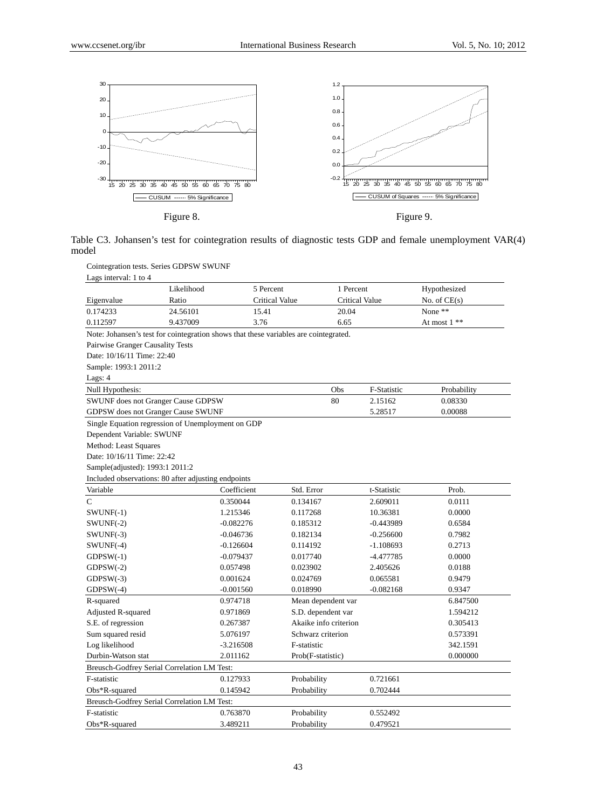

Table C3. Johansen's test for cointegration results of diagnostic tests GDP and female unemployment VAR(4) model

| Cointegration tests. Series GDPSW SWUNF |  |  |
|-----------------------------------------|--|--|
|                                         |  |  |

| Lags interval: 1 to 4            |                                                                                      |                       |                       |                       |             |                |
|----------------------------------|--------------------------------------------------------------------------------------|-----------------------|-----------------------|-----------------------|-------------|----------------|
|                                  | Likelihood                                                                           | 5 Percent             |                       | 1 Percent             |             | Hypothesized   |
| Eigenvalue                       | Ratio                                                                                | <b>Critical Value</b> |                       | <b>Critical Value</b> |             | No. of $CE(s)$ |
| 0.174233                         | 24.56101                                                                             | 15.41                 |                       | 20.04                 |             | None **        |
| 0.112597                         | 9.437009                                                                             | 3.76                  |                       | 6.65                  |             | At most 1 **   |
|                                  | Note: Johansen's test for cointegration shows that these variables are cointegrated. |                       |                       |                       |             |                |
| Pairwise Granger Causality Tests |                                                                                      |                       |                       |                       |             |                |
| Date: 10/16/11 Time: 22:40       |                                                                                      |                       |                       |                       |             |                |
| Sample: 1993:1 2011:2            |                                                                                      |                       |                       |                       |             |                |
| Lags: 4                          |                                                                                      |                       |                       |                       |             |                |
| Null Hypothesis:                 |                                                                                      |                       |                       | Obs                   | F-Statistic | Probability    |
|                                  | SWUNF does not Granger Cause GDPSW                                                   |                       |                       | 80                    | 2.15162     | 0.08330        |
|                                  | GDPSW does not Granger Cause SWUNF                                                   |                       |                       |                       | 5.28517     | 0.00088        |
|                                  | Single Equation regression of Unemployment on GDP                                    |                       |                       |                       |             |                |
| Dependent Variable: SWUNF        |                                                                                      |                       |                       |                       |             |                |
| Method: Least Squares            |                                                                                      |                       |                       |                       |             |                |
| Date: 10/16/11 Time: 22:42       |                                                                                      |                       |                       |                       |             |                |
| Sample(adjusted): 1993:1 2011:2  |                                                                                      |                       |                       |                       |             |                |
|                                  | Included observations: 80 after adjusting endpoints                                  |                       |                       |                       |             |                |
| Variable                         |                                                                                      | Coefficient           | Std. Error            |                       | t-Statistic | Prob.          |
| $\mathsf{C}$                     |                                                                                      | 0.350044              | 0.134167              |                       | 2.609011    | 0.0111         |
| $SWUNF(-1)$                      |                                                                                      | 1.215346              | 0.117268              |                       | 10.36381    | 0.0000         |
| $SWUNF(-2)$                      |                                                                                      | $-0.082276$           | 0.185312              |                       | $-0.443989$ | 0.6584         |
| $SWUNF(-3)$                      |                                                                                      | $-0.046736$           | 0.182134              |                       | $-0.256600$ | 0.7982         |
| $SWUNF(-4)$                      |                                                                                      | $-0.126604$           | 0.114192              |                       | $-1.108693$ | 0.2713         |
| $GDPSW(-1)$                      |                                                                                      | $-0.079437$           | 0.017740              |                       | $-4.477785$ | 0.0000         |
| $GDPSW(-2)$                      |                                                                                      | 0.057498              | 0.023902              |                       | 2.405626    | 0.0188         |
| $GDPSW(-3)$                      |                                                                                      | 0.001624              | 0.024769              |                       | 0.065581    | 0.9479         |
| $GDPSW(-4)$                      |                                                                                      | $-0.001560$           | 0.018990              |                       | $-0.082168$ | 0.9347         |
| R-squared                        |                                                                                      | 0.974718              | Mean dependent var    |                       |             | 6.847500       |
| Adjusted R-squared               |                                                                                      | 0.971869              | S.D. dependent var    |                       |             | 1.594212       |
| S.E. of regression               |                                                                                      | 0.267387              | Akaike info criterion |                       |             | 0.305413       |
| Sum squared resid                |                                                                                      | 5.076197              | Schwarz criterion     |                       |             | 0.573391       |
| Log likelihood                   |                                                                                      | $-3.216508$           | F-statistic           |                       |             | 342.1591       |
| Durbin-Watson stat               |                                                                                      | 2.011162              | Prob(F-statistic)     |                       |             | 0.000000       |
|                                  | Breusch-Godfrey Serial Correlation LM Test:                                          |                       |                       |                       |             |                |
| F-statistic                      |                                                                                      | 0.127933              | Probability           |                       | 0.721661    |                |
| Obs*R-squared                    |                                                                                      | 0.145942              | Probability           |                       | 0.702444    |                |
|                                  | Breusch-Godfrey Serial Correlation LM Test:                                          |                       |                       |                       |             |                |
| F-statistic                      |                                                                                      | 0.763870              | Probability           |                       | 0.552492    |                |
| Obs*R-squared                    |                                                                                      | 3.489211              | Probability           |                       | 0.479521    |                |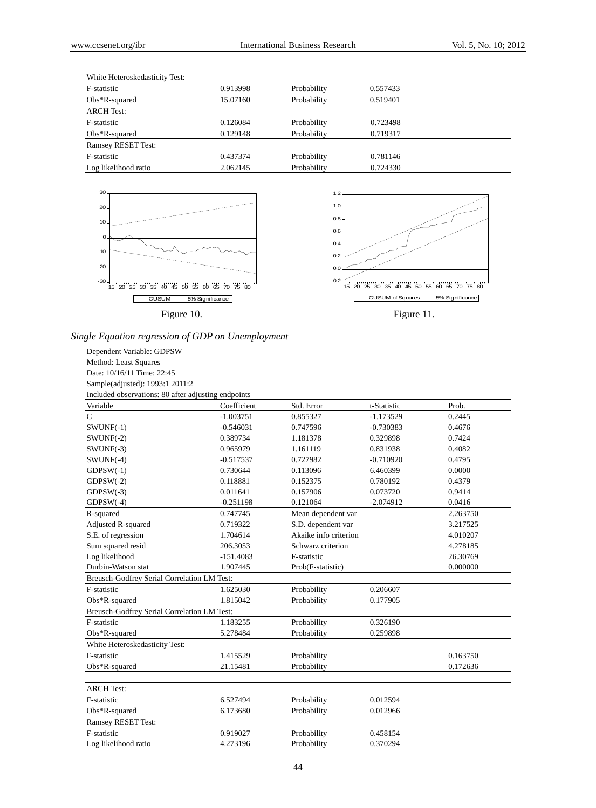| White Heteroskedasticity Test: |          |             |          |
|--------------------------------|----------|-------------|----------|
| F-statistic                    | 0.913998 | Probability | 0.557433 |
| $Obs*R$ -squared               | 15.07160 | Probability | 0.519401 |
| ARCH Test:                     |          |             |          |
| F-statistic                    | 0.126084 | Probability | 0.723498 |
| $Obs*R$ -squared               | 0.129148 | Probability | 0.719317 |
| <b>Ramsey RESET Test:</b>      |          |             |          |
| F-statistic                    | 0.437374 | Probability | 0.781146 |
| Log likelihood ratio           | 2.062145 | Probability | 0.724330 |





*Single Equation regression of GDP on Unemployment* 

Dependent Variable: GDPSW Method: Least Squares Date: 10/16/11 Time: 22:45 Sample(adjusted): 1993:1 2011:2 Included observations: 80 after adjusting endpoints

| mended observations. 60 and adjusting endponits<br>Variable | Coefficient | Std. Error            | t-Statistic | Prob.    |
|-------------------------------------------------------------|-------------|-----------------------|-------------|----------|
| $\mathsf{C}$                                                | $-1.003751$ | 0.855327              | $-1.173529$ | 0.2445   |
| $SWUNF(-1)$                                                 | $-0.546031$ | 0.747596              | $-0.730383$ | 0.4676   |
| $SWUNF(-2)$                                                 | 0.389734    | 1.181378              | 0.329898    | 0.7424   |
| $SWUNF(-3)$                                                 | 0.965979    | 1.161119              | 0.831938    | 0.4082   |
| $SWUNF(-4)$                                                 | $-0.517537$ | 0.727982              | $-0.710920$ | 0.4795   |
| $GDPSW(-1)$                                                 | 0.730644    | 0.113096              | 6.460399    | 0.0000   |
| $GDPSW(-2)$                                                 | 0.118881    | 0.152375              | 0.780192    | 0.4379   |
| $GDPSW(-3)$                                                 | 0.011641    | 0.157906              | 0.073720    | 0.9414   |
| $GDPSW(-4)$                                                 | $-0.251198$ | 0.121064              | $-2.074912$ | 0.0416   |
| R-squared                                                   | 0.747745    | Mean dependent var    |             | 2.263750 |
| <b>Adjusted R-squared</b>                                   | 0.719322    | S.D. dependent var    |             | 3.217525 |
| S.E. of regression                                          | 1.704614    | Akaike info criterion |             | 4.010207 |
| Sum squared resid                                           | 206.3053    | Schwarz criterion     |             | 4.278185 |
| Log likelihood                                              | $-151.4083$ | F-statistic           |             | 26.30769 |
| Durbin-Watson stat                                          | 1.907445    | Prob(F-statistic)     |             | 0.000000 |
| Breusch-Godfrey Serial Correlation LM Test:                 |             |                       |             |          |
| F-statistic                                                 | 1.625030    | Probability           | 0.206607    |          |
| Obs*R-squared                                               | 1.815042    | Probability           | 0.177905    |          |
| Breusch-Godfrey Serial Correlation LM Test:                 |             |                       |             |          |
| F-statistic                                                 | 1.183255    | Probability           | 0.326190    |          |
| $Obs*R$ -squared                                            | 5.278484    | Probability           | 0.259898    |          |
| White Heteroskedasticity Test:                              |             |                       |             |          |
| F-statistic                                                 | 1.415529    | Probability           |             | 0.163750 |
| $Obs*R$ -squared                                            | 21.15481    | Probability           |             | 0.172636 |
|                                                             |             |                       |             |          |
| <b>ARCH</b> Test:                                           |             |                       |             |          |
| F-statistic                                                 | 6.527494    | Probability           | 0.012594    |          |
| $Obs*R$ -squared                                            | 6.173680    | Probability           | 0.012966    |          |
| <b>Ramsey RESET Test:</b>                                   |             |                       |             |          |
| F-statistic                                                 | 0.919027    | Probability           | 0.458154    |          |
| Log likelihood ratio                                        | 4.273196    | Probability           | 0.370294    |          |
|                                                             |             |                       |             |          |